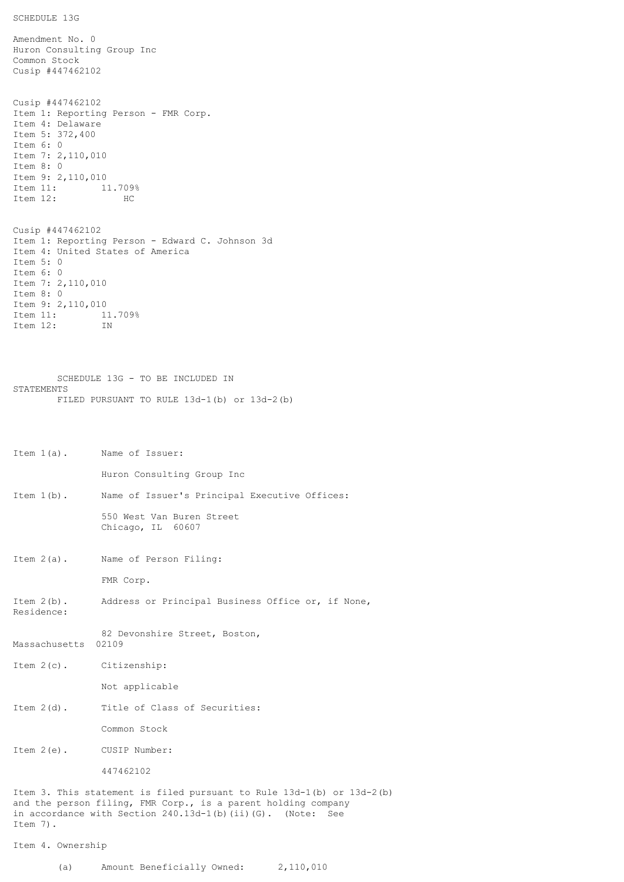```
SCHEDULE 13G
```
Amendment No. 0 Huron Consulting Group Inc Common Stock Cusip #447462102 Cusip #447462102 Item 1: Reporting Person - FMR Corp. Item 4: Delaware Item 5: 372,400 Item 6: 0 Item 7: 2,110,010 Item 8: 0 Item 9: 2,110,010 Item 11: 11.709% Item 12: HC Cusip #447462102 Item 1: Reporting Person - Edward C. Johnson 3d Item 4: United States of America Item 5: 0 Item 6: 0 Item 7: 2,110,010 Item 8: 0 Item 9: 2,110,010 Item 11: 11.709% Item 12: IN

SCHEDULE 13G - TO BE INCLUDED IN STATEMENTS FILED PURSUANT TO RULE 13d-1(b) or 13d-2(b)

```
Item 1(a). Name of Issuer:
               Huron Consulting Group Inc
Item 1(b). Name of Issuer's Principal Executive Offices:
               550 West Van Buren Street
               Chicago, IL 60607
Item 2(a). Name of Person Filing:
               FMR Corp.
Item 2(b). Address or Principal Business Office or, if None,
Residence:
               82 Devonshire Street, Boston,
Massachusetts 02109
Item 2(c). Citizenship:
               Not applicable
Item 2(d). Title of Class of Securities:
               Common Stock
Item 2(e). CUSIP Number:
               447462102
Item 3. This statement is filed pursuant to Rule 13d-1(b) or 13d-2(b)
and the person filing, FMR Corp., is a parent holding company
in accordance with Section 240.13d-1(b)(ii)(G). (Note: See
Item 7).
Item 4. Ownership
```

```
(a) Amount Beneficially Owned: 2,110,010
```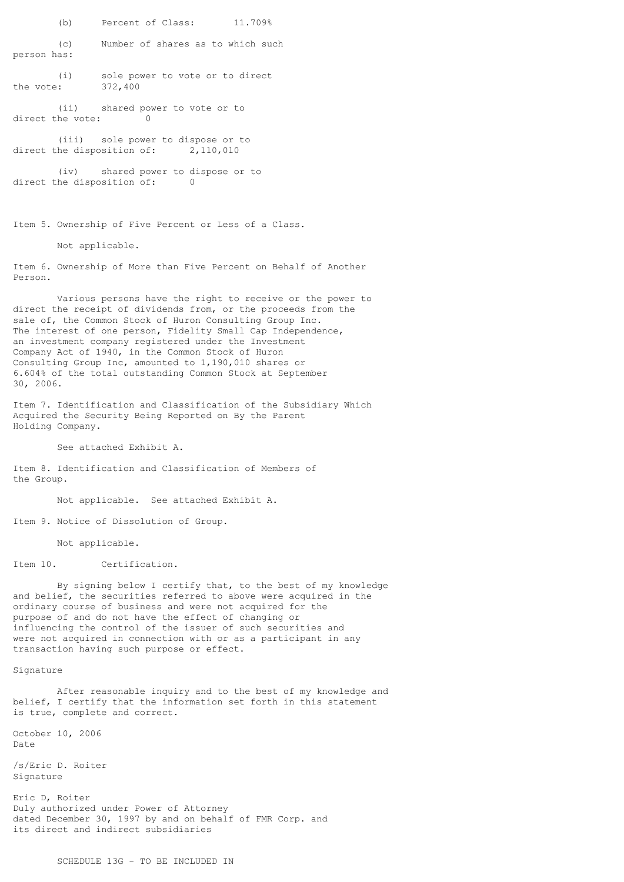(b) Percent of Class: 11.709%

(c) Number of shares as to which such person has:

(i) sole power to vote or to direct<br>: 372,400 the vote:

(ii) shared power to vote or to<br>the vote:  $\begin{bmatrix} 0 \\ 0 \end{bmatrix}$ direct the vote:

(iii) sole power to dispose or to direct the disposition of: 2,110,010

(iv) shared power to dispose or to direct the disposition of: 0

Item 5. Ownership of Five Percent or Less of a Class.

Not applicable.

Item 6. Ownership of More than Five Percent on Behalf of Another Person.

Various persons have the right to receive or the power to direct the receipt of dividends from, or the proceeds from the sale of, the Common Stock of Huron Consulting Group Inc. The interest of one person, Fidelity Small Cap Independence, an investment company registered under the Investment Company Act of 1940, in the Common Stock of Huron Consulting Group Inc, amounted to 1,190,010 shares or 6.604% of the total outstanding Common Stock at September 30, 2006.

Item 7. Identification and Classification of the Subsidiary Which Acquired the Security Being Reported on By the Parent Holding Company.

See attached Exhibit A.

Item 8. Identification and Classification of Members of the Group.

Not applicable. See attached Exhibit A.

Item 9. Notice of Dissolution of Group.

Not applicable.

Item 10. Certification.

By signing below I certify that, to the best of my knowledge and belief, the securities referred to above were acquired in the ordinary course of business and were not acquired for the purpose of and do not have the effect of changing or influencing the control of the issuer of such securities and were not acquired in connection with or as a participant in any transaction having such purpose or effect.

Signature

After reasonable inquiry and to the best of my knowledge and belief, I certify that the information set forth in this statement is true, complete and correct.

October 10, 2006 Date

/s/Eric D. Roiter Signature

Eric D, Roiter Duly authorized under Power of Attorney dated December 30, 1997 by and on behalf of FMR Corp. and its direct and indirect subsidiaries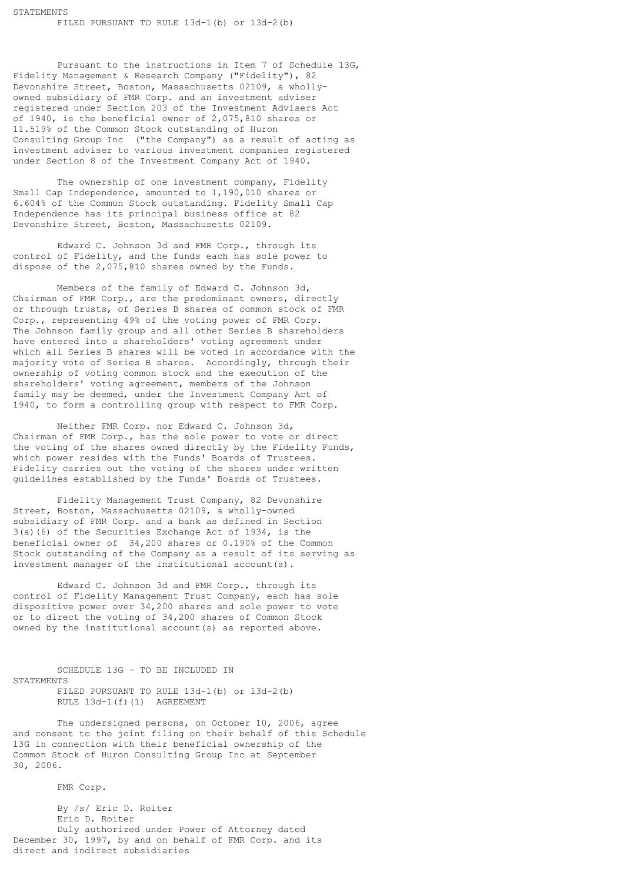Pursuant to the instructions in Item 7 of Schedule 13G, Fidelity Management & Research Company ("Fidelity"), 82 Devonshire Street, Boston, Massachusetts 02109, a whollyowned subsidiary of FMR Corp. and an investment adviser registered under Section 203 of the Investment Advisers Act of 1940, is the beneficial owner of 2,075,810 shares or 11.519% of the Common Stock outstanding of Huron Consulting Group Inc ("the Company") as a result of acting as investment adviser to various investment companies registered under Section 8 of the Investment Company Act of 1940.

The ownership of one investment company, Fidelity Small Cap Independence, amounted to 1,190,010 shares or 6.604% of the Common Stock outstanding. Fidelity Small Cap Independence has its principal business office at 82 Devonshire Street, Boston, Massachusetts 02109.

Edward C. Johnson 3d and FMR Corp., through its control of Fidelity, and the funds each has sole power to dispose of the 2,075,810 shares owned by the Funds.

Members of the family of Edward C. Johnson 3d, Chairman of FMR Corp., are the predominant owners, directly or through trusts, of Series B shares of common stock of FMR Corp., representing 49% of the voting power of FMR Corp. The Johnson family group and all other Series B shareholders have entered into a shareholders' voting agreement under which all Series B shares will be voted in accordance with the majority vote of Series B shares. Accordingly, through their ownership of voting common stock and the execution of the shareholders' voting agreement, members of the Johnson family may be deemed, under the Investment Company Act of 1940, to form a controlling group with respect to FMR Corp.

Neither FMR Corp. nor Edward C. Johnson 3d, Chairman of FMR Corp., has the sole power to vote or direct the voting of the shares owned directly by the Fidelity Funds, which power resides with the Funds' Boards of Trustees. Fidelity carries out the voting of the shares under written guidelines established by the Funds' Boards of Trustees.

Fidelity Management Trust Company, 82 Devonshire Street, Boston, Massachusetts 02109, a wholly-owned subsidiary of FMR Corp. and a bank as defined in Section 3(a)(6) of the Securities Exchange Act of 1934, is the beneficial owner of 34,200 shares or 0.190% of the Common Stock outstanding of the Company as a result of its serving as investment manager of the institutional account(s).

Edward C. Johnson 3d and FMR Corp., through its control of Fidelity Management Trust Company, each has sole dispositive power over 34,200 shares and sole power to vote or to direct the voting of 34,200 shares of Common Stock owned by the institutional account(s) as reported above.

SCHEDULE 13G - TO BE INCLUDED IN **STATEMENTS** FILED PURSUANT TO RULE 13d-1(b) or 13d-2(b)

RULE 13d-1(f)(1) AGREEMENT

The undersigned persons, on October 10, 2006, agree and consent to the joint filing on their behalf of this Schedule 13G in connection with their beneficial ownership of the Common Stock of Huron Consulting Group Inc at September 30, 2006.

FMR Corp.

By /s/ Eric D. Roiter Eric D. Roiter Duly authorized under Power of Attorney dated December 30, 1997, by and on behalf of FMR Corp. and its direct and indirect subsidiaries